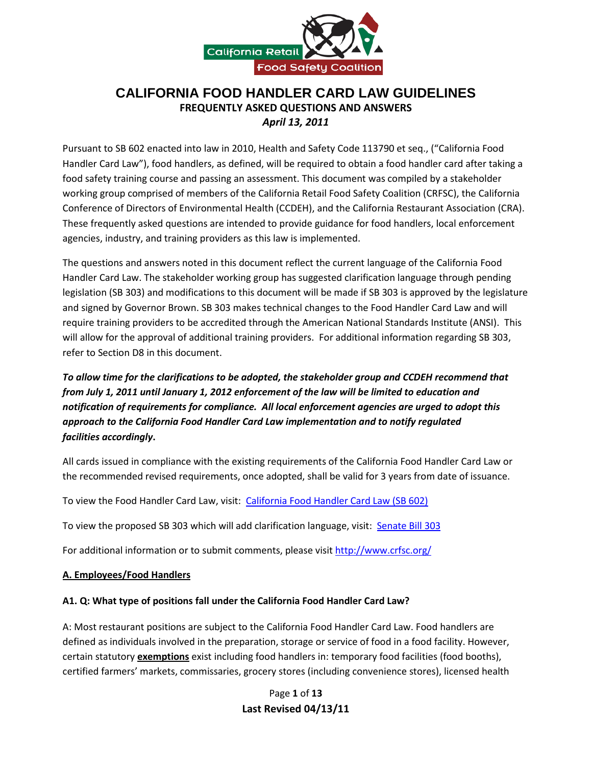

# **CALIFORNIA FOOD HANDLER CARD LAW GUIDELINES FREQUENTLY ASKED QUESTIONS AND ANSWERS** *April 13, 2011*

Pursuant to SB 602 enacted into law in 2010, Health and Safety Code 113790 et seq., ("California Food Handler Card Law"), food handlers, as defined, will be required to obtain a food handler card after taking a food safety training course and passing an assessment. This document was compiled by a stakeholder working group comprised of members of the California Retail Food Safety Coalition (CRFSC), the California Conference of Directors of Environmental Health (CCDEH), and the California Restaurant Association (CRA). These frequently asked questions are intended to provide guidance for food handlers, local enforcement agencies, industry, and training providers as this law is implemented.

The questions and answers noted in this document reflect the current language of the California Food Handler Card Law. The stakeholder working group has suggested clarification language through pending legislation (SB 303) and modifications to this document will be made if SB 303 is approved by the legislature and signed by Governor Brown. SB 303 makes technical changes to the Food Handler Card Law and will require training providers to be accredited through the American National Standards Institute (ANSI). This will allow for the approval of additional training providers. For additional information regarding SB 303, refer to Section D8 in this document.

# *To allow time for the clarifications to be adopted, the stakeholder group and CCDEH recommend that from July 1, 2011 until January 1, 2012 enforcement of the law will be limited to education and notification of requirements for compliance. All local enforcement agencies are urged to adopt this approach to the California Food Handler Card Law implementation and to notify regulated facilities accordingly***.**

All cards issued in compliance with the existing requirements of the California Food Handler Card Law or the recommended revised requirements, once adopted, shall be valid for 3 years from date of issuance.

To view the Food Handler Card Law, visit: [California Food Handler Card Law \(SB 602\)](http://www.leginfo.ca.gov/pub/09-10/bill/sen/sb_0601-0650/sb_602_bill_20100927_chaptered.html)

To view the proposed SB 303 which will add clarification language, visit: [Senate Bill 303](http://www.leginfo.ca.gov/cgi-bin/postquery?bill_number=sb_303&sess=CUR&house=B&author=padilla)

For additional information or to submit comments, please visit<http://www.crfsc.org/>

#### **A. Employees/Food Handlers**

### **A1. Q: What type of positions fall under the California Food Handler Card Law?**

A: Most restaurant positions are subject to the California Food Handler Card Law. Food handlers are defined as individuals involved in the preparation, storage or service of food in a food facility. However, certain statutory **exemptions** exist including food handlers in: temporary food facilities (food booths), certified farmers' markets, commissaries, grocery stores (including convenience stores), licensed health

> Page **1** of **13 Last Revised 04/13/11**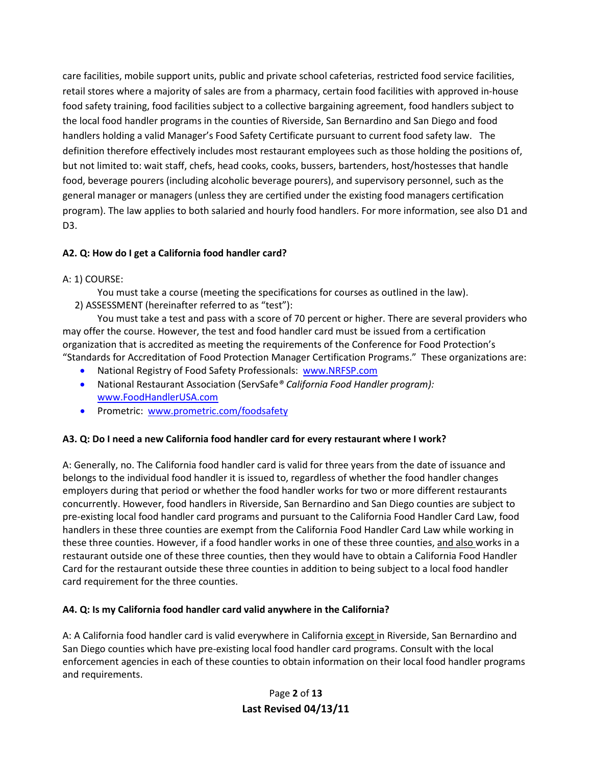care facilities, mobile support units, public and private school cafeterias, restricted food service facilities, retail stores where a majority of sales are from a pharmacy, certain food facilities with approved in-house food safety training, food facilities subject to a collective bargaining agreement, food handlers subject to the local food handler programs in the counties of Riverside, San Bernardino and San Diego and food handlers holding a valid Manager's Food Safety Certificate pursuant to current food safety law. The definition therefore effectively includes most restaurant employees such as those holding the positions of, but not limited to: wait staff, chefs, head cooks, cooks, bussers, bartenders, host/hostesses that handle food, beverage pourers (including alcoholic beverage pourers), and supervisory personnel, such as the general manager or managers (unless they are certified under the existing food managers certification program). The law applies to both salaried and hourly food handlers. For more information, see also D1 and D3.

## **A2. Q: How do I get a California food handler card?**

### A: 1) COURSE:

You must take a course (meeting the specifications for courses as outlined in the law). 2) ASSESSMENT (hereinafter referred to as "test"):

You must take a test and pass with a score of 70 percent or higher. There are several providers who may offer the course. However, the test and food handler card must be issued from a certification organization that is accredited as meeting the requirements of the Conference for Food Protection's "Standards for Accreditation of Food Protection Manager Certification Programs." These organizations are:

- National Registry of Food Safety Professionals: www.NRFSP.com
- National Restaurant Association (ServSafe*® California Food Handler program):*  www.FoodHandlerUSA.com
- Prometric: www.prometric.com/foodsafety

#### **A3. Q: Do I need a new California food handler card for every restaurant where I work?**

A: Generally, no. The California food handler card is valid for three years from the date of issuance and belongs to the individual food handler it is issued to, regardless of whether the food handler changes employers during that period or whether the food handler works for two or more different restaurants concurrently. However, food handlers in Riverside, San Bernardino and San Diego counties are subject to pre-existing local food handler card programs and pursuant to the California Food Handler Card Law, food handlers in these three counties are exempt from the California Food Handler Card Law while working in these three counties. However, if a food handler works in one of these three counties, and also works in a restaurant outside one of these three counties, then they would have to obtain a California Food Handler Card for the restaurant outside these three counties in addition to being subject to a local food handler card requirement for the three counties.

#### **A4. Q: Is my California food handler card valid anywhere in the California?**

A: A California food handler card is valid everywhere in California except in Riverside, San Bernardino and San Diego counties which have pre-existing local food handler card programs. Consult with the local enforcement agencies in each of these counties to obtain information on their local food handler programs and requirements.

> Page **2** of **13 Last Revised 04/13/11**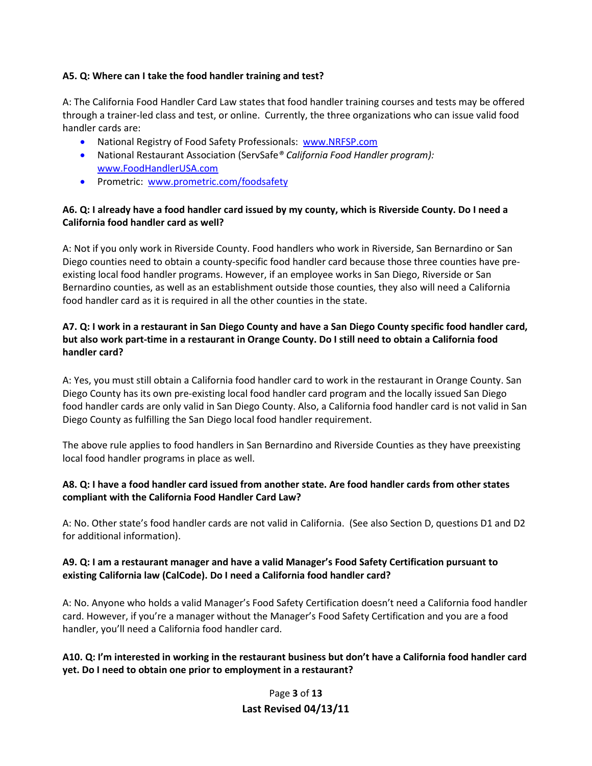#### **A5. Q: Where can I take the food handler training and test?**

A: The California Food Handler Card Law states that food handler training courses and tests may be offered through a trainer-led class and test, or online. Currently, the three organizations who can issue valid food handler cards are:

- National Registry of Food Safety Professionals: www.NRFSP.com
- National Restaurant Association (ServSafe*® California Food Handler program):* www.FoodHandlerUSA.com
- Prometric: www.prometric.com/foodsafety

### **A6. Q: I already have a food handler card issued by my county, which is Riverside County. Do I need a California food handler card as well?**

A: Not if you only work in Riverside County. Food handlers who work in Riverside, San Bernardino or San Diego counties need to obtain a county-specific food handler card because those three counties have preexisting local food handler programs. However, if an employee works in San Diego, Riverside or San Bernardino counties, as well as an establishment outside those counties, they also will need a California food handler card as it is required in all the other counties in the state.

### **A7. Q: I work in a restaurant in San Diego County and have a San Diego County specific food handler card, but also work part-time in a restaurant in Orange County. Do I still need to obtain a California food handler card?**

A: Yes, you must still obtain a California food handler card to work in the restaurant in Orange County. San Diego County has its own pre-existing local food handler card program and the locally issued San Diego food handler cards are only valid in San Diego County. Also, a California food handler card is not valid in San Diego County as fulfilling the San Diego local food handler requirement.

The above rule applies to food handlers in San Bernardino and Riverside Counties as they have preexisting local food handler programs in place as well.

### **A8. Q: I have a food handler card issued from another state. Are food handler cards from other states compliant with the California Food Handler Card Law?**

A: No. Other state's food handler cards are not valid in California. (See also Section D, questions D1 and D2 for additional information).

### **A9. Q: I am a restaurant manager and have a valid Manager's Food Safety Certification pursuant to existing California law (CalCode). Do I need a California food handler card?**

A: No. Anyone who holds a valid Manager's Food Safety Certification doesn't need a California food handler card. However, if you're a manager without the Manager's Food Safety Certification and you are a food handler, you'll need a California food handler card.

### **A10. Q: I'm interested in working in the restaurant business but don't have a California food handler card yet. Do I need to obtain one prior to employment in a restaurant?**

Page **3** of **13 Last Revised 04/13/11**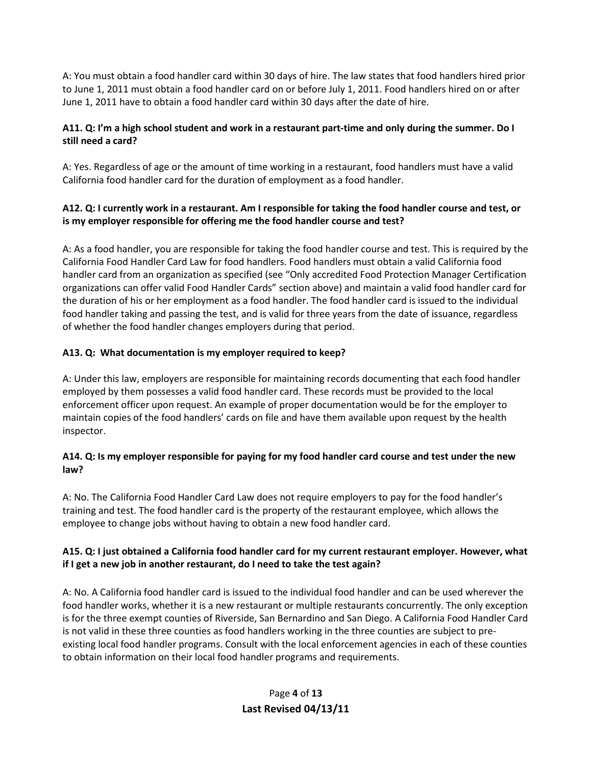A: You must obtain a food handler card within 30 days of hire. The law states that food handlers hired prior to June 1, 2011 must obtain a food handler card on or before July 1, 2011. Food handlers hired on or after June 1, 2011 have to obtain a food handler card within 30 days after the date of hire.

### **A11. Q: I'm a high school student and work in a restaurant part-time and only during the summer. Do I still need a card?**

A: Yes. Regardless of age or the amount of time working in a restaurant, food handlers must have a valid California food handler card for the duration of employment as a food handler.

### **A12. Q: I currently work in a restaurant. Am I responsible for taking the food handler course and test, or is my employer responsible for offering me the food handler course and test?**

A: As a food handler, you are responsible for taking the food handler course and test. This is required by the California Food Handler Card Law for food handlers. Food handlers must obtain a valid California food handler card from an organization as specified (see "Only accredited Food Protection Manager Certification organizations can offer valid Food Handler Cards" section above) and maintain a valid food handler card for the duration of his or her employment as a food handler. The food handler card is issued to the individual food handler taking and passing the test, and is valid for three years from the date of issuance, regardless of whether the food handler changes employers during that period.

### **A13. Q: What documentation is my employer required to keep?**

A: Under this law, employers are responsible for maintaining records documenting that each food handler employed by them possesses a valid food handler card. These records must be provided to the local enforcement officer upon request. An example of proper documentation would be for the employer to maintain copies of the food handlers' cards on file and have them available upon request by the health inspector.

### **A14. Q: Is my employer responsible for paying for my food handler card course and test under the new law?**

A: No. The California Food Handler Card Law does not require employers to pay for the food handler's training and test. The food handler card is the property of the restaurant employee, which allows the employee to change jobs without having to obtain a new food handler card.

### **A15. Q: I just obtained a California food handler card for my current restaurant employer. However, what if I get a new job in another restaurant, do I need to take the test again?**

A: No. A California food handler card is issued to the individual food handler and can be used wherever the food handler works, whether it is a new restaurant or multiple restaurants concurrently. The only exception is for the three exempt counties of Riverside, San Bernardino and San Diego. A California Food Handler Card is not valid in these three counties as food handlers working in the three counties are subject to preexisting local food handler programs. Consult with the local enforcement agencies in each of these counties to obtain information on their local food handler programs and requirements.

# Page **4** of **13 Last Revised 04/13/11**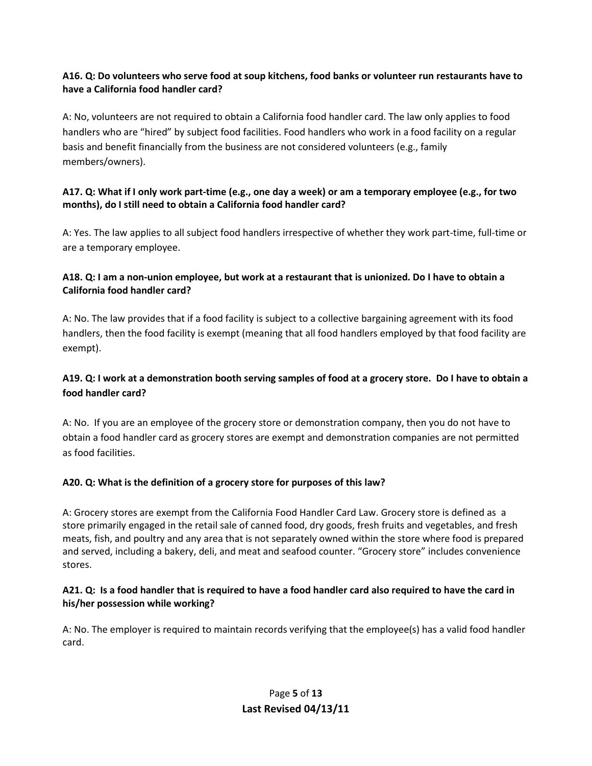### **A16. Q: Do volunteers who serve food at soup kitchens, food banks or volunteer run restaurants have to have a California food handler card?**

A: No, volunteers are not required to obtain a California food handler card. The law only applies to food handlers who are "hired" by subject food facilities. Food handlers who work in a food facility on a regular basis and benefit financially from the business are not considered volunteers (e.g., family members/owners).

### **A17. Q: What if I only work part-time (e.g., one day a week) or am a temporary employee (e.g., for two months), do I still need to obtain a California food handler card?**

A: Yes. The law applies to all subject food handlers irrespective of whether they work part-time, full-time or are a temporary employee.

### **A18. Q: I am a non-union employee, but work at a restaurant that is unionized. Do I have to obtain a California food handler card?**

A: No. The law provides that if a food facility is subject to a collective bargaining agreement with its food handlers, then the food facility is exempt (meaning that all food handlers employed by that food facility are exempt).

## **A19. Q: I work at a demonstration booth serving samples of food at a grocery store. Do I have to obtain a food handler card?**

A: No. If you are an employee of the grocery store or demonstration company, then you do not have to obtain a food handler card as grocery stores are exempt and demonstration companies are not permitted as food facilities.

## **A20. Q: What is the definition of a grocery store for purposes of this law?**

A: Grocery stores are exempt from the California Food Handler Card Law. Grocery store is defined as a store primarily engaged in the retail sale of canned food, dry goods, fresh fruits and vegetables, and fresh meats, fish, and poultry and any area that is not separately owned within the store where food is prepared and served, including a bakery, deli, and meat and seafood counter. "Grocery store" includes convenience stores.

### **A21. Q: Is a food handler that is required to have a food handler card also required to have the card in his/her possession while working?**

A: No. The employer is required to maintain records verifying that the employee(s) has a valid food handler card.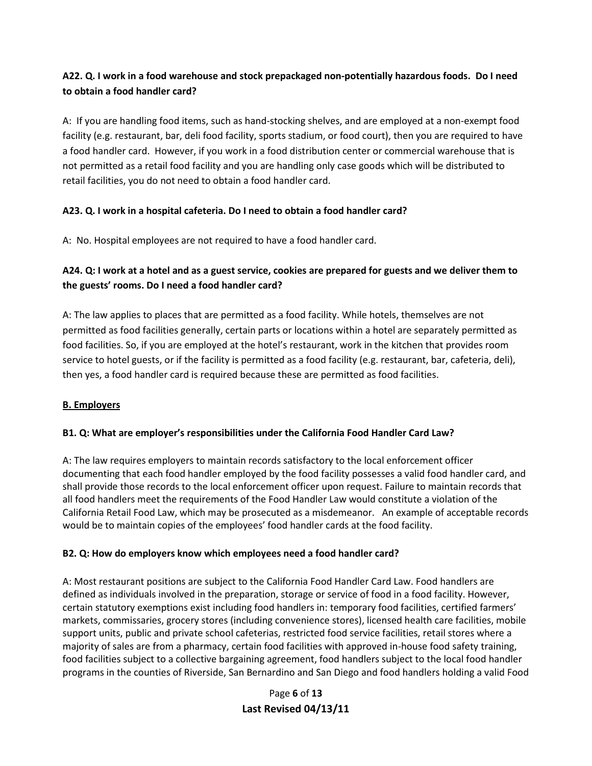## **A22. Q. I work in a food warehouse and stock prepackaged non-potentially hazardous foods. Do I need to obtain a food handler card?**

A: If you are handling food items, such as hand-stocking shelves, and are employed at a non-exempt food facility (e.g. restaurant, bar, deli food facility, sports stadium, or food court), then you are required to have a food handler card. However, if you work in a food distribution center or commercial warehouse that is not permitted as a retail food facility and you are handling only case goods which will be distributed to retail facilities, you do not need to obtain a food handler card.

## **A23. Q. I work in a hospital cafeteria. Do I need to obtain a food handler card?**

A: No. Hospital employees are not required to have a food handler card.

# **A24. Q: I work at a hotel and as a guest service, cookies are prepared for guests and we deliver them to the guests' rooms. Do I need a food handler card?**

A: The law applies to places that are permitted as a food facility. While hotels, themselves are not permitted as food facilities generally, certain parts or locations within a hotel are separately permitted as food facilities. So, if you are employed at the hotel's restaurant, work in the kitchen that provides room service to hotel guests, or if the facility is permitted as a food facility (e.g. restaurant, bar, cafeteria, deli), then yes, a food handler card is required because these are permitted as food facilities.

## **B. Employers**

## **B1. Q: What are employer's responsibilities under the California Food Handler Card Law?**

A: The law requires employers to maintain records satisfactory to the local enforcement officer documenting that each food handler employed by the food facility possesses a valid food handler card, and shall provide those records to the local enforcement officer upon request. Failure to maintain records that all food handlers meet the requirements of the Food Handler Law would constitute a violation of the California Retail Food Law, which may be prosecuted as a misdemeanor. An example of acceptable records would be to maintain copies of the employees' food handler cards at the food facility.

## **B2. Q: How do employers know which employees need a food handler card?**

A: Most restaurant positions are subject to the California Food Handler Card Law. Food handlers are defined as individuals involved in the preparation, storage or service of food in a food facility. However, certain statutory exemptions exist including food handlers in: temporary food facilities, certified farmers' markets, commissaries, grocery stores (including convenience stores), licensed health care facilities, mobile support units, public and private school cafeterias, restricted food service facilities, retail stores where a majority of sales are from a pharmacy, certain food facilities with approved in-house food safety training, food facilities subject to a collective bargaining agreement, food handlers subject to the local food handler programs in the counties of Riverside, San Bernardino and San Diego and food handlers holding a valid Food

> Page **6** of **13 Last Revised 04/13/11**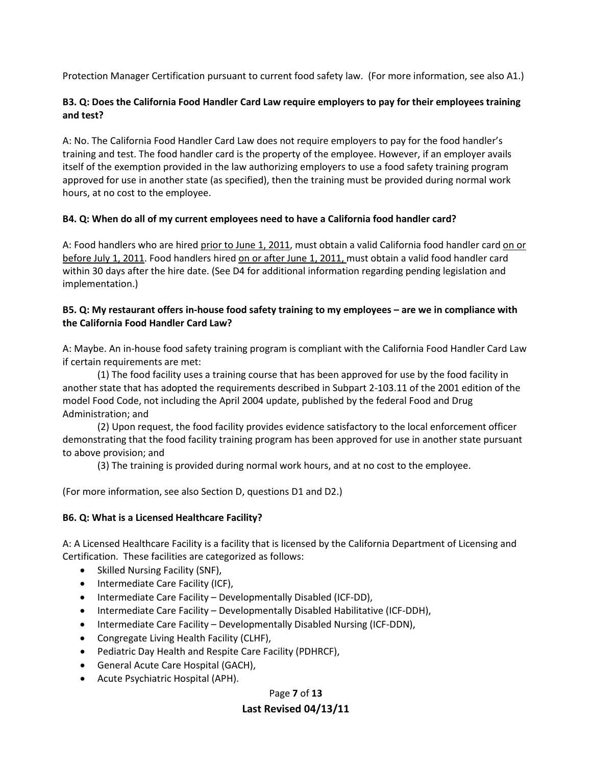Protection Manager Certification pursuant to current food safety law. (For more information, see also A1.)

#### **B3. Q: Does the California Food Handler Card Law require employers to pay for their employees training and test?**

A: No. The California Food Handler Card Law does not require employers to pay for the food handler's training and test. The food handler card is the property of the employee. However, if an employer avails itself of the exemption provided in the law authorizing employers to use a food safety training program approved for use in another state (as specified), then the training must be provided during normal work hours, at no cost to the employee.

### **B4. Q: When do all of my current employees need to have a California food handler card?**

A: Food handlers who are hired prior to June 1, 2011, must obtain a valid California food handler card on or before July 1, 2011. Food handlers hired on or after June 1, 2011, must obtain a valid food handler card within 30 days after the hire date. (See D4 for additional information regarding pending legislation and implementation.)

#### **B5. Q: My restaurant offers in-house food safety training to my employees – are we in compliance with the California Food Handler Card Law?**

A: Maybe. An in-house food safety training program is compliant with the California Food Handler Card Law if certain requirements are met:

(1) The food facility uses a training course that has been approved for use by the food facility in another state that has adopted the requirements described in Subpart 2-103.11 of the 2001 edition of the model Food Code, not including the April 2004 update, published by the federal Food and Drug Administration; and

(2) Upon request, the food facility provides evidence satisfactory to the local enforcement officer demonstrating that the food facility training program has been approved for use in another state pursuant to above provision; and

(3) The training is provided during normal work hours, and at no cost to the employee.

(For more information, see also Section D, questions D1 and D2.)

### **B6. Q: What is a Licensed Healthcare Facility?**

A: A Licensed Healthcare Facility is a facility that is licensed by the California Department of Licensing and Certification. These facilities are categorized as follows:

- Skilled Nursing Facility (SNF),
- Intermediate Care Facility (ICF),
- Intermediate Care Facility Developmentally Disabled (ICF-DD),
- Intermediate Care Facility Developmentally Disabled Habilitative (ICF-DDH),
- Intermediate Care Facility Developmentally Disabled Nursing (ICF-DDN),
- Congregate Living Health Facility (CLHF),
- Pediatric Day Health and Respite Care Facility (PDHRCF),
- General Acute Care Hospital (GACH),
- Acute Psychiatric Hospital (APH).

#### Page **7** of **13**

#### **Last Revised 04/13/11**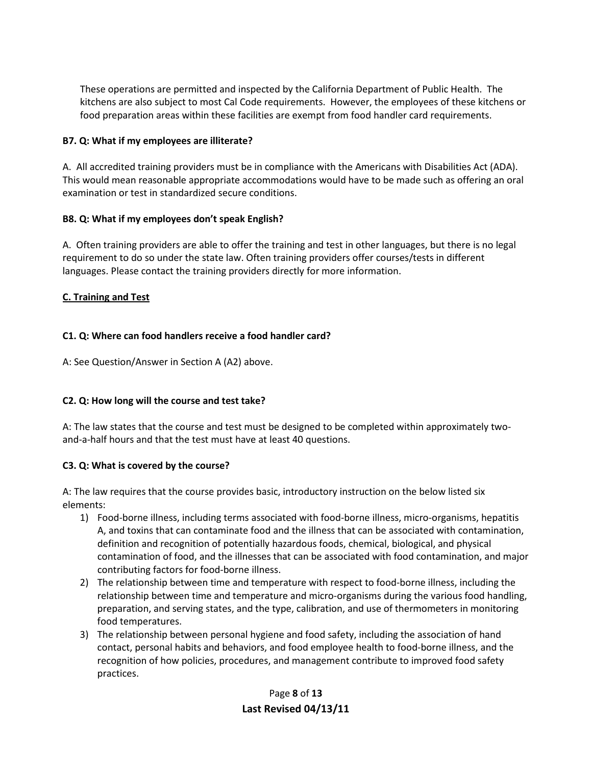These operations are permitted and inspected by the California Department of Public Health. The kitchens are also subject to most Cal Code requirements. However, the employees of these kitchens or food preparation areas within these facilities are exempt from food handler card requirements.

### **B7. Q: What if my employees are illiterate?**

A. All accredited training providers must be in compliance with the Americans with Disabilities Act (ADA). This would mean reasonable appropriate accommodations would have to be made such as offering an oral examination or test in standardized secure conditions.

#### **B8. Q: What if my employees don't speak English?**

A. Often training providers are able to offer the training and test in other languages, but there is no legal requirement to do so under the state law. Often training providers offer courses/tests in different languages. Please contact the training providers directly for more information.

#### **C. Training and Test**

### **C1. Q: Where can food handlers receive a food handler card?**

A: See Question/Answer in Section A (A2) above.

### **C2. Q: How long will the course and test take?**

A: The law states that the course and test must be designed to be completed within approximately twoand-a-half hours and that the test must have at least 40 questions.

#### **C3. Q: What is covered by the course?**

A: The law requires that the course provides basic, introductory instruction on the below listed six elements:

- 1) Food-borne illness, including terms associated with food-borne illness, micro-organisms, hepatitis A, and toxins that can contaminate food and the illness that can be associated with contamination, definition and recognition of potentially hazardous foods, chemical, biological, and physical contamination of food, and the illnesses that can be associated with food contamination, and major contributing factors for food-borne illness.
- 2) The relationship between time and temperature with respect to food-borne illness, including the relationship between time and temperature and micro-organisms during the various food handling, preparation, and serving states, and the type, calibration, and use of thermometers in monitoring food temperatures.
- 3) The relationship between personal hygiene and food safety, including the association of hand contact, personal habits and behaviors, and food employee health to food-borne illness, and the recognition of how policies, procedures, and management contribute to improved food safety practices.

Page **8** of **13 Last Revised 04/13/11**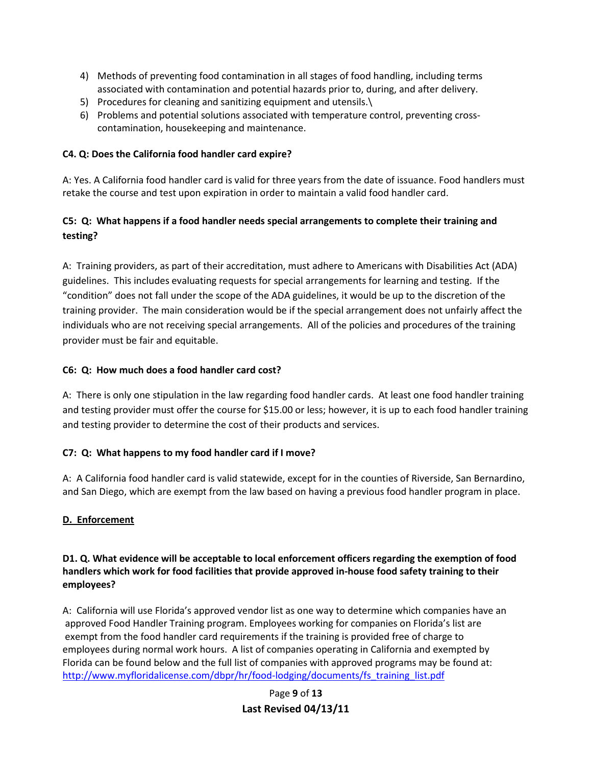- 4) Methods of preventing food contamination in all stages of food handling, including terms associated with contamination and potential hazards prior to, during, and after delivery.
- 5) Procedures for cleaning and sanitizing equipment and utensils.\
- 6) Problems and potential solutions associated with temperature control, preventing crosscontamination, housekeeping and maintenance.

#### **C4. Q: Does the California food handler card expire?**

A: Yes. A California food handler card is valid for three years from the date of issuance. Food handlers must retake the course and test upon expiration in order to maintain a valid food handler card.

## **C5: Q: What happens if a food handler needs special arrangements to complete their training and testing?**

A: Training providers, as part of their accreditation, must adhere to Americans with Disabilities Act (ADA) guidelines. This includes evaluating requests for special arrangements for learning and testing. If the "condition" does not fall under the scope of the ADA guidelines, it would be up to the discretion of the training provider. The main consideration would be if the special arrangement does not unfairly affect the individuals who are not receiving special arrangements. All of the policies and procedures of the training provider must be fair and equitable.

### **C6: Q: How much does a food handler card cost?**

A: There is only one stipulation in the law regarding food handler cards. At least one food handler training and testing provider must offer the course for \$15.00 or less; however, it is up to each food handler training and testing provider to determine the cost of their products and services.

### **C7: Q: What happens to my food handler card if I move?**

A: A California food handler card is valid statewide, except for in the counties of Riverside, San Bernardino, and San Diego, which are exempt from the law based on having a previous food handler program in place.

### **D. Enforcement**

### **D1. Q. What evidence will be acceptable to local enforcement officers regarding the exemption of food handlers which work for food facilities that provide approved in-house food safety training to their employees?**

A: California will use Florida's approved vendor list as one way to determine which companies have an approved Food Handler Training program. Employees working for companies on Florida's list are exempt from the food handler card requirements if the training is provided free of charge to employees during normal work hours. A list of companies operating in California and exempted by Florida can be found below and the full list of companies with approved programs may be found at: [http://www.myfloridalicense.com/dbpr/hr/food-lodging/documents/fs\\_training\\_list.pdf](http://www.myfloridalicense.com/dbpr/hr/food-lodging/documents/fs_training_list.pdf)

> Page **9** of **13 Last Revised 04/13/11**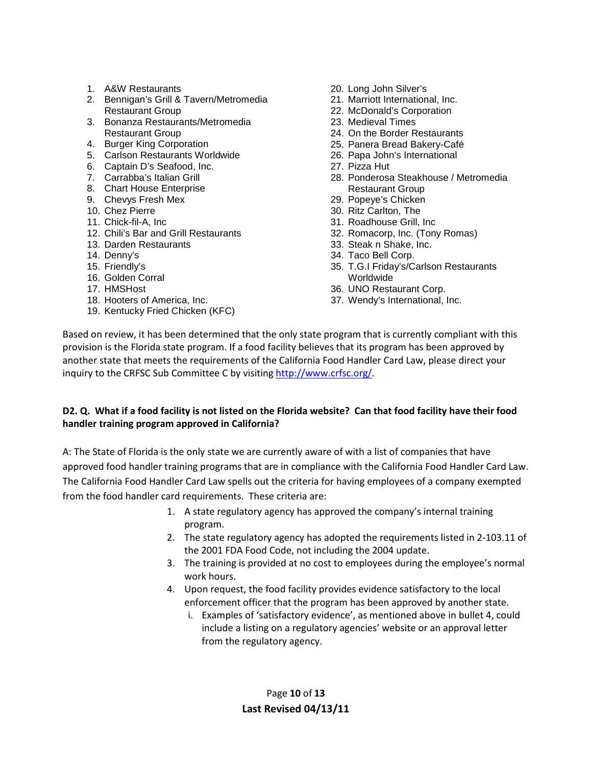- 1. A&W Restaurants
- 2. Bennigan's Grill & Tavern/Metromedia Restaurant Group
- 3. Bonanza Restaurants/Metromedia Restaurant Group
- 4. Burger King Corporation
- 5. Carlson Restaurants Worldwide
- 6. Captain D's Seafood, Inc.
- 7. Carrabba's Italian Grill
- 8. Chart House Enterprise
- 9. Chevys Fresh Mex
- 10. Chez Pierre
- 11. Chick-fil-A, Inc
- 12. Chili's Bar and Grill Restaurants
- 13. Darden Restaurants
- 14. Denny's
- 15. Friendly's
- 16. Golden Corral
- 17. HMSHost
- 18. Hooters of America, Inc.
- 19. Kentucky Fried Chicken (KFC)
- 20. Long John Silver's
- 21. Marriott International, Inc.
- 22. McDonald's Corporation
- 23. Medieval Times
- 24. On the Border Restaurants
- 25. Panera Bread Bakery-Café
- 26. Papa John's International
- 27. Pizza Hut
- 28. Ponderosa Steakhouse / Metromedia Restaurant Group
- 29. Popeye's Chicken
- 30. Ritz Carlton, The
- 31. Roadhouse Grill, Inc
- 32. Romacorp, Inc. (Tony Romas)
- 33. Steak n Shake, Inc.
- 34. Taco Bell Corp.
- 35. T.G.I Friday's/Carlson Restaurants Worldwide
- 36. UNO Restaurant Corp.
- 37. Wendy's International, Inc.

Based on review, it has been determined that the only state program that is currently compliant with this provision is the Florida state program. If a food facility believes that its program has been approved by another state that meets the requirements of the California Food Handler Card Law, please direct your inquiry to the CRFSC Sub Committee C by visiting [http://www.crfsc.org/.](http://www.crfsc.org/)

#### **D2. Q. What if a food facility is not listed on the Florida website? Can that food facility have their food handler training program approved in California?**

A: The State of Florida is the only state we are currently aware of with a list of companies that have approved food handler training programs that are in compliance with the California Food Handler Card Law. The California Food Handler Card Law spells out the criteria for having employees of a company exempted from the food handler card requirements. These criteria are:

- 1. A state regulatory agency has approved the company's internal training program.
- 2. The state regulatory agency has adopted the requirements listed in 2-103.11 of the 2001 FDA Food Code, not including the 2004 update.
- 3. The training is provided at no cost to employees during the employee's normal work hours.
- 4. Upon request, the food facility provides evidence satisfactory to the local enforcement officer that the program has been approved by another state.
	- i. Examples of 'satisfactory evidence', as mentioned above in bullet 4, could include a listing on a regulatory agencies' website or an approval letter from the regulatory agency.

Page **10** of **13 Last Revised 04/13/11**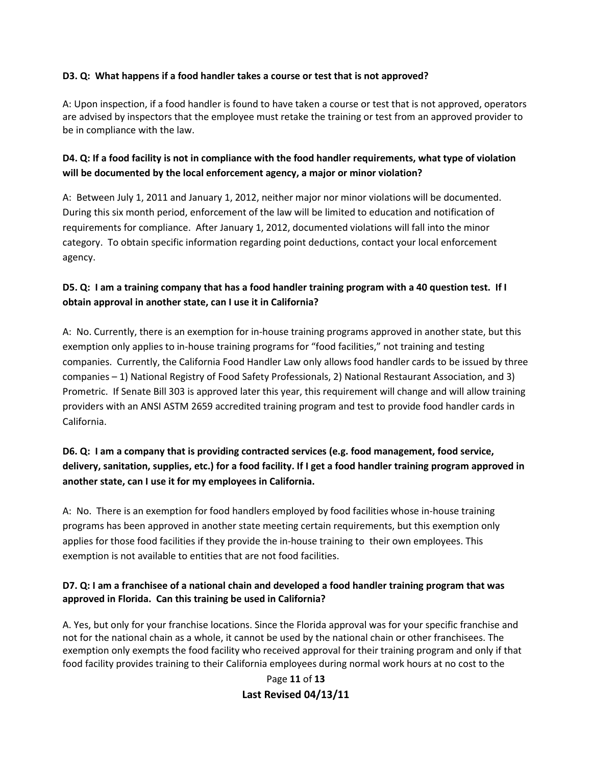#### **D3. Q: What happens if a food handler takes a course or test that is not approved?**

A: Upon inspection, if a food handler is found to have taken a course or test that is not approved, operators are advised by inspectors that the employee must retake the training or test from an approved provider to be in compliance with the law.

## **D4. Q: If a food facility is not in compliance with the food handler requirements, what type of violation will be documented by the local enforcement agency, a major or minor violation?**

A: Between July 1, 2011 and January 1, 2012, neither major nor minor violations will be documented. During this six month period, enforcement of the law will be limited to education and notification of requirements for compliance. After January 1, 2012, documented violations will fall into the minor category. To obtain specific information regarding point deductions, contact your local enforcement agency.

### **D5. Q: I am a training company that has a food handler training program with a 40 question test. If I obtain approval in another state, can I use it in California?**

A: No. Currently, there is an exemption for in-house training programs approved in another state, but this exemption only applies to in-house training programs for "food facilities," not training and testing companies. Currently, the California Food Handler Law only allows food handler cards to be issued by three companies – 1) National Registry of Food Safety Professionals, 2) National Restaurant Association, and 3) Prometric. If Senate Bill 303 is approved later this year, this requirement will change and will allow training providers with an ANSI ASTM 2659 accredited training program and test to provide food handler cards in California.

## **D6. Q: I am a company that is providing contracted services (e.g. food management, food service, delivery, sanitation, supplies, etc.) for a food facility. If I get a food handler training program approved in another state, can I use it for my employees in California.**

A: No. There is an exemption for food handlers employed by food facilities whose in-house training programs has been approved in another state meeting certain requirements, but this exemption only applies for those food facilities if they provide the in-house training to their own employees. This exemption is not available to entities that are not food facilities.

### **D7. Q: I am a franchisee of a national chain and developed a food handler training program that was approved in Florida. Can this training be used in California?**

A. Yes, but only for your franchise locations. Since the Florida approval was for your specific franchise and not for the national chain as a whole, it cannot be used by the national chain or other franchisees. The exemption only exempts the food facility who received approval for their training program and only if that food facility provides training to their California employees during normal work hours at no cost to the

## Page **11** of **13 Last Revised 04/13/11**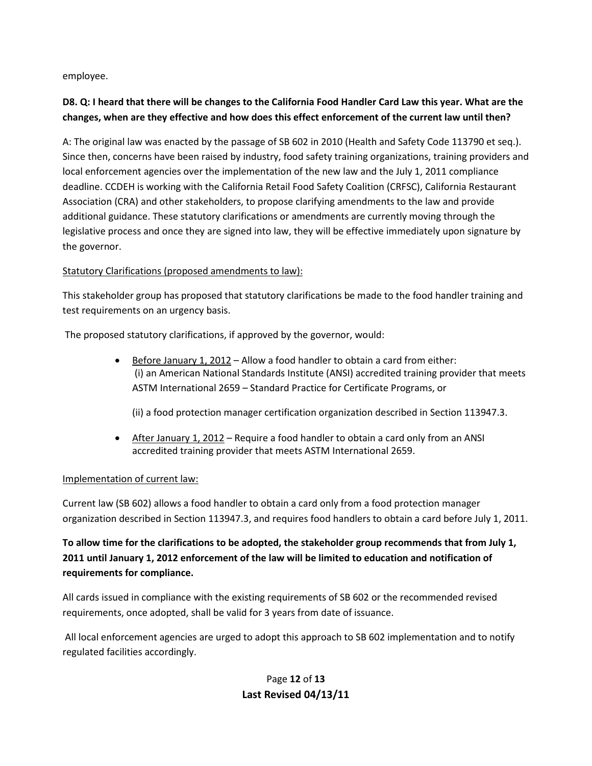employee.

## **D8. Q: I heard that there will be changes to the California Food Handler Card Law this year. What are the changes, when are they effective and how does this effect enforcement of the current law until then?**

A: The original law was enacted by the passage of SB 602 in 2010 (Health and Safety Code 113790 et seq.). Since then, concerns have been raised by industry, food safety training organizations, training providers and local enforcement agencies over the implementation of the new law and the July 1, 2011 compliance deadline. CCDEH is working with the California Retail Food Safety Coalition (CRFSC), California Restaurant Association (CRA) and other stakeholders, to propose clarifying amendments to the law and provide additional guidance. These statutory clarifications or amendments are currently moving through the legislative process and once they are signed into law, they will be effective immediately upon signature by the governor.

### Statutory Clarifications (proposed amendments to law):

This stakeholder group has proposed that statutory clarifications be made to the food handler training and test requirements on an urgency basis.

The proposed statutory clarifications, if approved by the governor, would:

• Before January 1, 2012 – Allow a food handler to obtain a card from either: (i) an American National Standards Institute (ANSI) accredited training provider that meets ASTM International 2659 – Standard Practice for Certificate Programs, or

(ii) a food protection manager certification organization described in Section 113947.3.

• After January 1, 2012 – Require a food handler to obtain a card only from an ANSI accredited training provider that meets ASTM International 2659.

### Implementation of current law:

Current law (SB 602) allows a food handler to obtain a card only from a food protection manager organization described in Section 113947.3, and requires food handlers to obtain a card before July 1, 2011.

# **To allow time for the clarifications to be adopted, the stakeholder group recommends that from July 1, 2011 until January 1, 2012 enforcement of the law will be limited to education and notification of requirements for compliance.**

All cards issued in compliance with the existing requirements of SB 602 or the recommended revised requirements, once adopted, shall be valid for 3 years from date of issuance.

All local enforcement agencies are urged to adopt this approach to SB 602 implementation and to notify regulated facilities accordingly.

# Page **12** of **13 Last Revised 04/13/11**